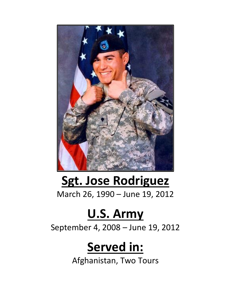

## **Sgt. Jose Rodriguez** March 26, 1990 – June 19, 2012

## **U.S. Army**

September 4, 2008 – June 19, 2012

## **Served in:**

Afghanistan, Two Tours